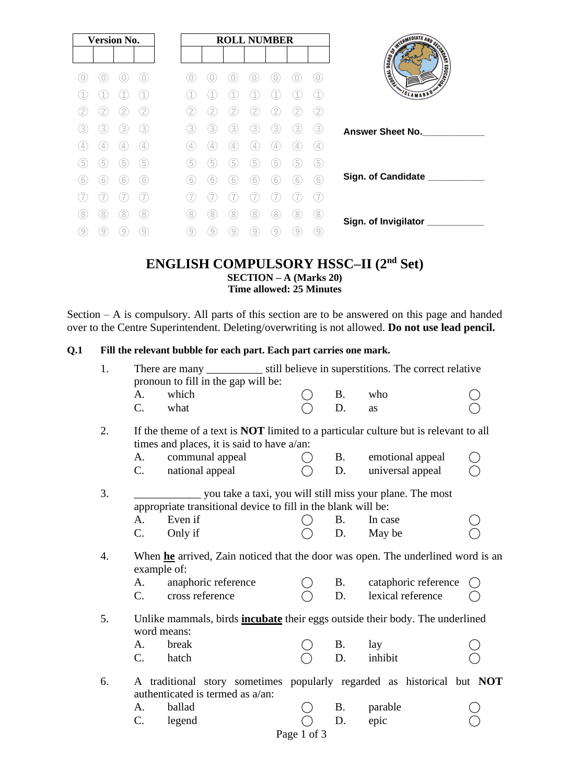|   | <b>Version No.</b> |   |     |  |   |    |   |   | <b>ROLL NUMBER</b> |   |                   |                                  |
|---|--------------------|---|-----|--|---|----|---|---|--------------------|---|-------------------|----------------------------------|
|   |                    |   |     |  |   |    |   |   |                    |   |                   | <b>CONTROLLATE AND SCORE</b>     |
|   |                    |   |     |  |   |    |   |   |                    |   | 0                 | <b>MONTAINS</b><br><b>TRIBBS</b> |
|   |                    |   |     |  |   |    |   |   |                    |   |                   | SLAMABAD"                        |
|   |                    |   | 2   |  |   |    |   |   |                    |   | 2                 |                                  |
| 3 | 3                  | 3 | 3   |  | 3 | 31 | 3 | 3 | 3                  | 3 | 3                 | <b>Answer Sheet No.</b>          |
|   |                    | 4 | 4   |  |   | 4  | 4 |   | 4                  |   | $\left( 4\right)$ |                                  |
| 5 | 5                  | 5 | (5) |  | 5 | 5  | 5 | 5 | 5                  | 5 | (5)               |                                  |
| 6 | 6                  | 6 | (6) |  | 6 | 6  | 6 | 6 | 6                  | 6 | (6)               | Sign. of Candidate               |
|   |                    |   |     |  |   |    |   |   |                    |   |                   |                                  |
|   | 8                  | 8 | 8   |  | 8 | 8  | 8 | 8 | 8                  | 8 | 8                 | Sign. of Invigilator             |
| 9 |                    |   | 9   |  |   |    | 9 |   |                    |   | 9                 |                                  |

## **ENGLISH COMPULSORY HSSC–II (2nd Set) SECTION – A (Marks 20) Time allowed: 25 Minutes**

Section – A is compulsory. All parts of this section are to be answered on this page and handed over to the Centre Superintendent. Deleting/overwriting is not allowed. **Do not use lead pencil.**

#### **Q.1 Fill the relevant bubble for each part. Each part carries one mark.**

| 1. |                | pronoun to fill in the gap will be:                                                                                                       | There are many ______________ still believe in superstitions. The correct relative |           |                                                           |  |  |  |  |
|----|----------------|-------------------------------------------------------------------------------------------------------------------------------------------|------------------------------------------------------------------------------------|-----------|-----------------------------------------------------------|--|--|--|--|
|    | A <sub>1</sub> | which                                                                                                                                     |                                                                                    | <b>B.</b> | who                                                       |  |  |  |  |
|    | $C_{\cdot}$    | what                                                                                                                                      |                                                                                    | D.        | as                                                        |  |  |  |  |
| 2. |                | If the theme of a text is <b>NOT</b> limited to a particular culture but is relevant to all<br>times and places, it is said to have a/an: |                                                                                    |           |                                                           |  |  |  |  |
|    | A.             | communal appeal                                                                                                                           |                                                                                    | <b>B.</b> | emotional appeal                                          |  |  |  |  |
|    | $C_{\cdot}$    | national appeal                                                                                                                           |                                                                                    | D.        | universal appeal                                          |  |  |  |  |
| 3. |                | appropriate transitional device to fill in the blank will be:                                                                             |                                                                                    |           | you take a taxi, you will still miss your plane. The most |  |  |  |  |
|    | A.             | Even if                                                                                                                                   |                                                                                    | <b>B.</b> | In case                                                   |  |  |  |  |
|    | $C$ .          | Only if                                                                                                                                   |                                                                                    | D.        | May be                                                    |  |  |  |  |
| 4. | example of:    | When he arrived, Zain noticed that the door was open. The underlined word is an                                                           |                                                                                    |           |                                                           |  |  |  |  |
|    | A.             | anaphoric reference                                                                                                                       |                                                                                    | <b>B.</b> | cataphoric reference                                      |  |  |  |  |
|    | $C_{\cdot}$    | cross reference                                                                                                                           |                                                                                    | D.        | lexical reference                                         |  |  |  |  |
| 5. | word means:    | Unlike mammals, birds <b>incubate</b> their eggs outside their body. The underlined                                                       |                                                                                    |           |                                                           |  |  |  |  |
|    | A.             | break                                                                                                                                     |                                                                                    | <b>B.</b> | lay                                                       |  |  |  |  |
|    | $C_{\cdot}$    | hatch                                                                                                                                     |                                                                                    | D.        | inhibit                                                   |  |  |  |  |
| 6. |                | A traditional story sometimes popularly regarded as historical but NOT<br>authenticated is termed as a/an:                                |                                                                                    |           |                                                           |  |  |  |  |
|    | A.             | ballad                                                                                                                                    |                                                                                    | <b>B.</b> | parable                                                   |  |  |  |  |
|    | C.             | legend                                                                                                                                    |                                                                                    | D.        | epic                                                      |  |  |  |  |
|    |                |                                                                                                                                           | Page 1 of 3                                                                        |           |                                                           |  |  |  |  |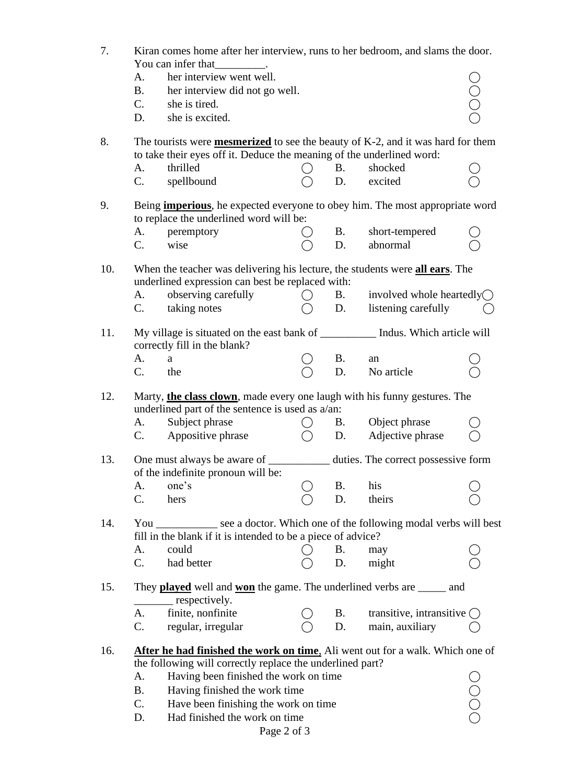| 7.  | Kiran comes home after her interview, runs to her bedroom, and slams the door.<br>You can infer that |                                                                                                                                                                         |             |            |                                     |        |  |  |  |  |  |
|-----|------------------------------------------------------------------------------------------------------|-------------------------------------------------------------------------------------------------------------------------------------------------------------------------|-------------|------------|-------------------------------------|--------|--|--|--|--|--|
|     | A.                                                                                                   | her interview went well.                                                                                                                                                |             |            |                                     |        |  |  |  |  |  |
|     | <b>B.</b>                                                                                            | her interview did not go well.                                                                                                                                          |             |            |                                     |        |  |  |  |  |  |
|     | C.                                                                                                   | she is tired.                                                                                                                                                           |             |            |                                     |        |  |  |  |  |  |
|     | D.                                                                                                   | she is excited.                                                                                                                                                         |             |            |                                     |        |  |  |  |  |  |
| 8.  |                                                                                                      | The tourists were <b>mesmerized</b> to see the beauty of K-2, and it was hard for them                                                                                  |             |            |                                     |        |  |  |  |  |  |
|     |                                                                                                      | to take their eyes off it. Deduce the meaning of the underlined word:                                                                                                   |             |            |                                     |        |  |  |  |  |  |
|     | A.                                                                                                   | thrilled                                                                                                                                                                |             | <b>B</b> . | shocked                             |        |  |  |  |  |  |
|     | C.                                                                                                   | spellbound                                                                                                                                                              |             | D.         | excited                             |        |  |  |  |  |  |
| 9.  |                                                                                                      | Being <b>imperious</b> , he expected everyone to obey him. The most appropriate word<br>to replace the underlined word will be:                                         |             |            |                                     |        |  |  |  |  |  |
|     | А.                                                                                                   | peremptory                                                                                                                                                              |             | Β.         | short-tempered                      |        |  |  |  |  |  |
|     | $C_{\cdot}$                                                                                          | wise                                                                                                                                                                    |             | D.         | abnormal                            |        |  |  |  |  |  |
| 10. |                                                                                                      | When the teacher was delivering his lecture, the students were <b>all ears</b> . The<br>underlined expression can best be replaced with:                                |             |            |                                     |        |  |  |  |  |  |
|     | А.                                                                                                   | observing carefully                                                                                                                                                     |             | <b>B.</b>  | involved whole heartedly $\bigcirc$ |        |  |  |  |  |  |
|     | $C_{\cdot}$                                                                                          | taking notes                                                                                                                                                            |             | D.         | listening carefully                 |        |  |  |  |  |  |
|     |                                                                                                      |                                                                                                                                                                         |             |            |                                     |        |  |  |  |  |  |
| 11. |                                                                                                      | My village is situated on the east bank of _________ Indus. Which article will<br>correctly fill in the blank?                                                          |             |            |                                     |        |  |  |  |  |  |
|     | A.                                                                                                   | a                                                                                                                                                                       |             | <b>B.</b>  | an                                  |        |  |  |  |  |  |
|     | C.                                                                                                   | the                                                                                                                                                                     |             | D.         | No article                          |        |  |  |  |  |  |
| 12. | A.<br>$C_{\cdot}$                                                                                    | Marty, the class clown, made every one laugh with his funny gestures. The<br>underlined part of the sentence is used as $a/an$ :<br>Subject phrase<br>Appositive phrase |             | Β.<br>D.   | Object phrase<br>Adjective phrase   |        |  |  |  |  |  |
| 13. |                                                                                                      | One must always be aware of<br>of the indefinite pronoun will be:                                                                                                       |             |            | duties. The correct possessive form |        |  |  |  |  |  |
|     | A.                                                                                                   | one's                                                                                                                                                                   |             | Β.         | his                                 |        |  |  |  |  |  |
|     | C.                                                                                                   | hers                                                                                                                                                                    |             | D.         | theirs                              |        |  |  |  |  |  |
| 14. |                                                                                                      | You ____________ see a doctor. Which one of the following modal verbs will best                                                                                         |             |            |                                     |        |  |  |  |  |  |
|     |                                                                                                      | fill in the blank if it is intended to be a piece of advice?                                                                                                            |             |            |                                     |        |  |  |  |  |  |
|     | A.                                                                                                   | could                                                                                                                                                                   |             | Β.         | may                                 |        |  |  |  |  |  |
|     | C.                                                                                                   | had better                                                                                                                                                              |             | D.         | might                               |        |  |  |  |  |  |
| 15. |                                                                                                      | They <b>played</b> well and <b><u>won</u></b> the game. The underlined verbs are _____ and<br>respectively.                                                             |             |            |                                     |        |  |  |  |  |  |
|     | A.                                                                                                   | finite, nonfinite                                                                                                                                                       |             | <b>B</b> . | transitive, intransitive $\bigcirc$ |        |  |  |  |  |  |
|     | C.                                                                                                   | regular, irregular                                                                                                                                                      |             | D.         | main, auxiliary                     |        |  |  |  |  |  |
|     |                                                                                                      |                                                                                                                                                                         |             |            |                                     |        |  |  |  |  |  |
| 16. |                                                                                                      | After he had finished the work on time, Ali went out for a walk. Which one of<br>the following will correctly replace the underlined part?                              |             |            |                                     |        |  |  |  |  |  |
|     | A.                                                                                                   | Having been finished the work on time                                                                                                                                   |             |            |                                     |        |  |  |  |  |  |
|     | <b>B.</b>                                                                                            | Having finished the work time                                                                                                                                           |             |            |                                     |        |  |  |  |  |  |
|     | C.                                                                                                   | Have been finishing the work on time                                                                                                                                    |             |            |                                     |        |  |  |  |  |  |
|     | D.                                                                                                   | Had finished the work on time                                                                                                                                           |             |            |                                     | O<br>O |  |  |  |  |  |
|     |                                                                                                      |                                                                                                                                                                         | Page 2 of 3 |            |                                     |        |  |  |  |  |  |
|     |                                                                                                      |                                                                                                                                                                         |             |            |                                     |        |  |  |  |  |  |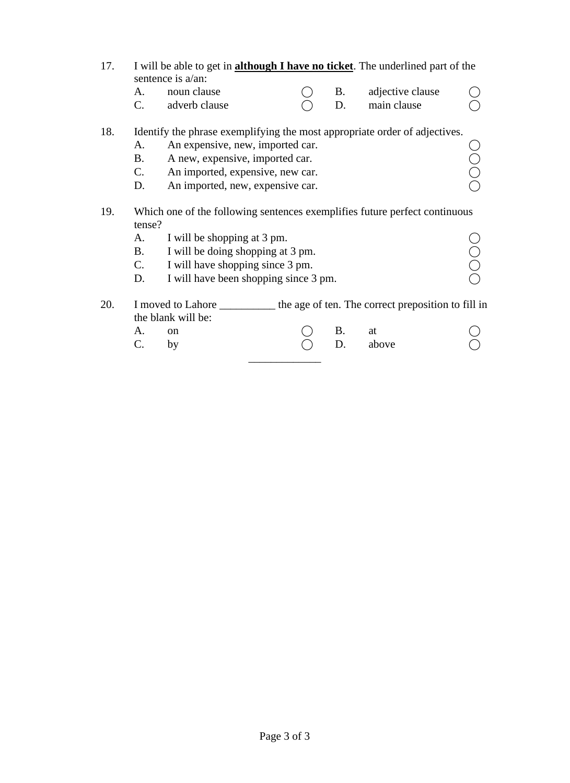- 17. I will be able to get in **although I have no ticket**. The underlined part of the sentence is a/an:
	- A. noun clause  $\bigcirc$  B. adjective clause  $\bigcirc$ <br>C. adverb clause  $\bigcirc$  D. main clause  $\bigcirc$ C. adverb clause  $\bigcirc$  D. main clause

### 18. Identify the phrase exemplifying the most appropriate order of adjectives.

- A. An expensive, new, imported car. <br>
B. A new, expensive, imported car. <br>
C. An imported, expensive, new car. <br>
D. An imported new expensive car.
- B. A new, expensive, imported car.<br>C. An imported, expensive, new car
- An imported, expensive, new car.
- D. An imported, new, expensive car.
- 19. Which one of the following sentences exemplifies future perfect continuous tense?
	-
	- A. I will be shopping at 3 pm.<br>
	B. I will be doing shopping at 3 pm.<br>
	C. I will have shopping since 3 pm. B. I will be doing shopping at 3 pm.
	- C. I will have shopping since 3 pm.
	- D. I will have been shopping since 3 pm.
- 20. I moved to Lahore \_\_\_\_\_\_\_\_\_\_ the age of ten. The correct preposition to fill in the blank will be:

\_\_\_\_\_\_\_\_\_\_\_\_\_

A. on  $\bigcirc$  B. at  $\bigcirc$ C. by  $\bigcirc$  D. above  $\bigcirc$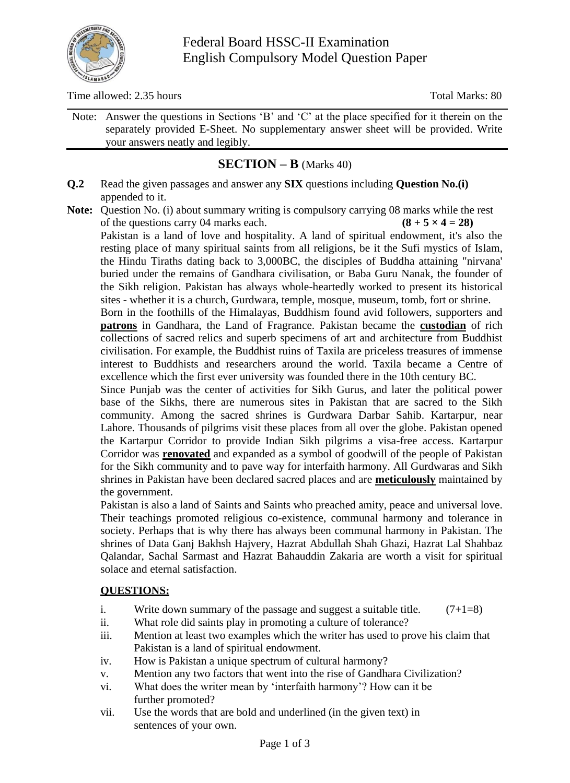

Time allowed: 2.35 hours Total Marks: 80

Note: Answer the questions in Sections 'B' and 'C' at the place specified for it therein on the separately provided E-Sheet. No supplementary answer sheet will be provided. Write your answers neatly and legibly.

# **SECTION – B** (Marks 40)

- **Q.2** Read the given passages and answer any **SIX** questions including **Question No.(i)** appended to it.
- **Note:** Question No. (i) about summary writing is compulsory carrying 08 marks while the rest of the questions carry 04 marks each.  $(8 + 5 \times 4 = 28)$

Pakistan is a land of love and hospitality. A land of spiritual endowment, it's also the resting place of many spiritual saints from all religions, be it the Sufi mystics of Islam, the Hindu Tiraths dating back to 3,000BC, the disciples of Buddha attaining "nirvana' buried under the remains of Gandhara civilisation, or Baba Guru Nanak, the founder of the Sikh religion. Pakistan has always whole-heartedly worked to present its historical sites - whether it is a church, Gurdwara, temple, mosque, museum, tomb, fort or shrine.

Born in the foothills of the Himalayas, Buddhism found avid followers, supporters and **patrons** in Gandhara, the Land of Fragrance. Pakistan became the **custodian** of rich collections of sacred relics and superb specimens of art and architecture from Buddhist civilisation. For example, the Buddhist ruins of Taxila are priceless treasures of immense interest to Buddhists and researchers around the world. Taxila became a Centre of excellence which the first ever university was founded there in the 10th century BC.

Since Punjab was the center of activities for Sikh Gurus, and later the political power base of the Sikhs, there are numerous sites in Pakistan that are sacred to the Sikh community. Among the sacred shrines is Gurdwara Darbar Sahib. Kartarpur, near Lahore. Thousands of pilgrims visit these places from all over the globe. Pakistan opened the Kartarpur Corridor to provide Indian Sikh pilgrims a visa-free access. Kartarpur Corridor was **renovated** and expanded as a symbol of goodwill of the people of Pakistan for the Sikh community and to pave way for interfaith harmony. All Gurdwaras and Sikh shrines in Pakistan have been declared sacred places and are **meticulously** maintained by the government.

Pakistan is also a land of Saints and Saints who preached amity, peace and universal love. Their teachings promoted religious co-existence, communal harmony and tolerance in society. Perhaps that is why there has always been communal harmony in Pakistan. The shrines of Data Ganj Bakhsh Hajvery, Hazrat Abdullah Shah Ghazi, Hazrat Lal Shahbaz Qalandar, Sachal Sarmast and Hazrat Bahauddin Zakaria are worth a visit for spiritual solace and eternal satisfaction.

## **QUESTIONS:**

- i. Write down summary of the passage and suggest a suitable title.  $(7+1=8)$
- ii. What role did saints play in promoting a culture of tolerance?
- iii. Mention at least two examples which the writer has used to prove his claim that Pakistan is a land of spiritual endowment.
- iv. How is Pakistan a unique spectrum of cultural harmony?
- v. Mention any two factors that went into the rise of Gandhara Civilization?
- vi. What does the writer mean by 'interfaith harmony'? How can it be further promoted?
- vii. Use the words that are bold and underlined (in the given text) in sentences of your own.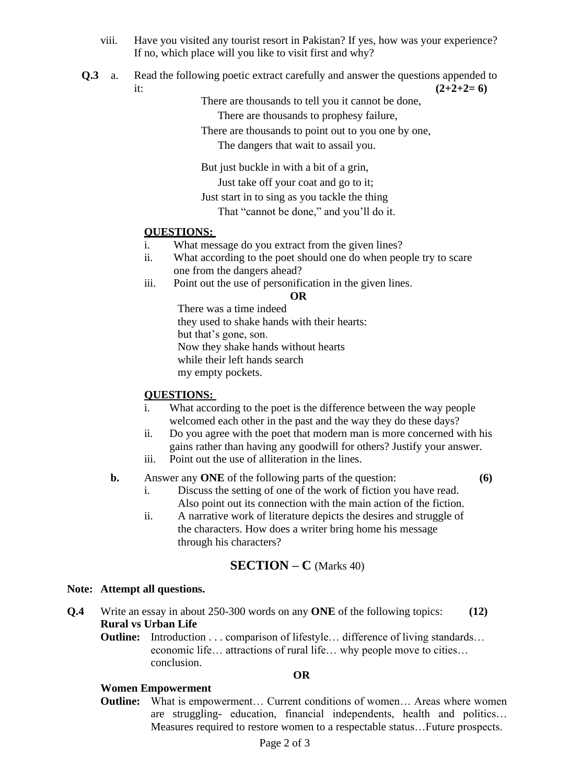- viii. Have you visited any tourist resort in Pakistan? If yes, how was your experience? If no, which place will you like to visit first and why?
- **Q.3** a. Read the following poetic extract carefully and answer the questions appended to it:  $(2+2+2=6)$

There are thousands to tell you it cannot be done, There are thousands to prophesy failure,

There are thousands to point out to you one by one, The dangers that wait to assail you.

But just buckle in with a bit of a grin,

Just take off your coat and go to it;

Just start in to sing as you tackle the thing

That "cannot be done," and you'll do it.

## **QUESTIONS:**

- i. What message do you extract from the given lines?
- ii. What according to the poet should one do when people try to scare one from the dangers ahead?
- iii. Point out the use of personification in the given lines.

**OR**

There was a time indeed they used to shake hands with their hearts: but that's gone, son. Now they shake hands without hearts while their left hands search my empty pockets.

### **QUESTIONS:**

- i. What according to the poet is the difference between the way people welcomed each other in the past and the way they do these days?
- ii. Do you agree with the poet that modern man is more concerned with his gains rather than having any goodwill for others? Justify your answer.
- iii. Point out the use of alliteration in the lines.

## **b.** Answer any **ONE** of the following parts of the question: **(6)**

- i. Discuss the setting of one of the work of fiction you have read. Also point out its connection with the main action of the fiction.
- ii. A narrative work of literature depicts the desires and struggle of the characters. How does a writer bring home his message through his characters?

## **SECTION – C** (Marks 40)

#### **Note: Attempt all questions.**

**Q.4** Write an essay in about 250-300 words on any **ONE** of the following topics: **(12) Rural vs Urban Life**

**Outline:** Introduction . . . comparison of lifestyle... difference of living standards... economic life… attractions of rural life… why people move to cities… conclusion.

#### **OR**

#### **Women Empowerment**

**Outline:** What is empowerment... Current conditions of women... Areas where women are struggling- education, financial independents, health and politics… Measures required to restore women to a respectable status…Future prospects.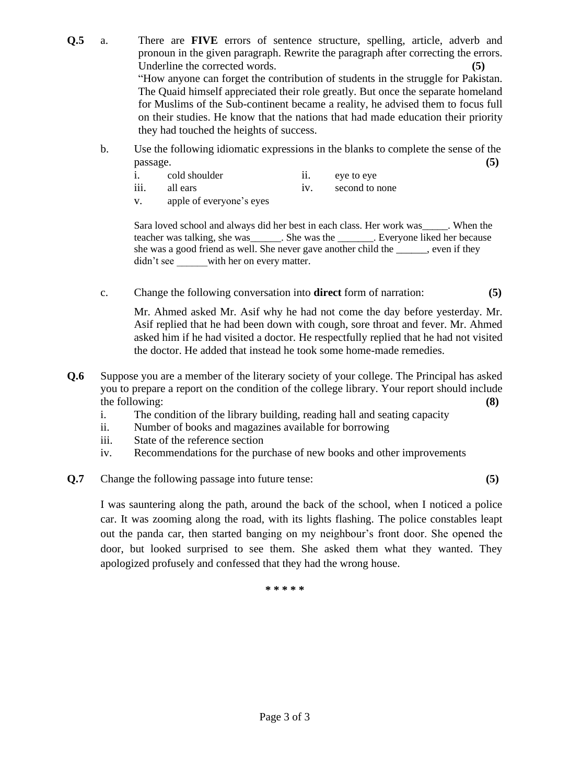**Q.5** a. There are **FIVE** errors of sentence structure, spelling, article, adverb and pronoun in the given paragraph. Rewrite the paragraph after correcting the errors. Underline the corrected words. **(5)** "How anyone can forget the contribution of students in the struggle for Pakistan. The Quaid himself appreciated their role greatly. But once the separate homeland for Muslims of the Sub-continent became a reality, he advised them to focus full on their studies. He know that the nations that had made education their priority they had touched the heights of success.

- b. Use the following idiomatic expressions in the blanks to complete the sense of the passage. **(5)**
	- i. cold shoulder ii. eye to eye
	- iii. all ears iv. second to none
	- v. apple of everyone's eyes

Sara loved school and always did her best in each class. Her work was\_\_\_\_\_. When the teacher was talking, she was\_\_\_\_\_\_. She was the \_\_\_\_\_\_\_. Everyone liked her because she was a good friend as well. She never gave another child the \_\_\_\_\_\_, even if they didn't see with her on every matter.

c. Change the following conversation into **direct** form of narration: **(5)**

Mr. Ahmed asked Mr. Asif why he had not come the day before yesterday. Mr. Asif replied that he had been down with cough, sore throat and fever. Mr. Ahmed asked him if he had visited a doctor. He respectfully replied that he had not visited the doctor. He added that instead he took some home-made remedies.

- **Q.6** Suppose you are a member of the literary society of your college. The Principal has asked you to prepare a report on the condition of the college library. Your report should include the following: **(8)**
	- i. The condition of the library building, reading hall and seating capacity
	- ii. Number of books and magazines available for borrowing
	- iii. State of the reference section
	- iv. Recommendations for the purchase of new books and other improvements
- **Q.7** Change the following passage into future tense: **(5)**

I was sauntering along the path, around the back of the school, when I noticed a police car. It was zooming along the road, with its lights flashing. The police constables leapt out the panda car, then started banging on my neighbour's front door. She opened the door, but looked surprised to see them. She asked them what they wanted. They apologized profusely and confessed that they had the wrong house.

**\* \* \* \* \***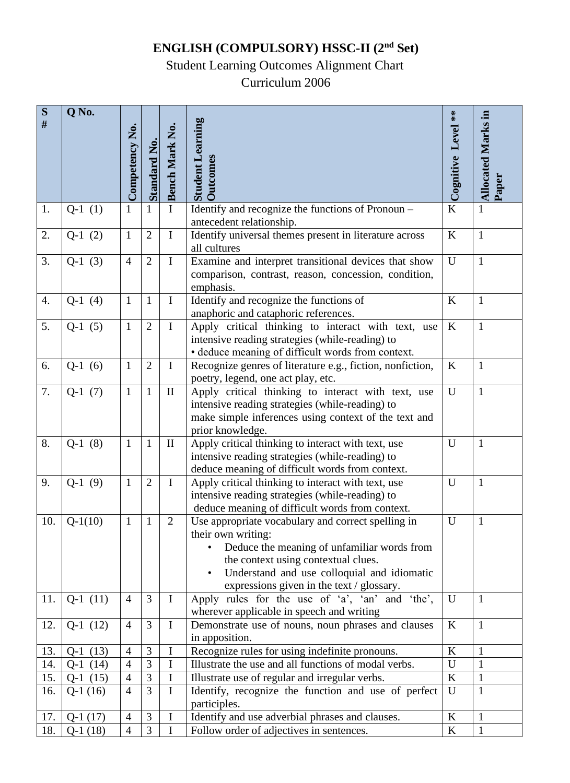# **ENGLISH (COMPULSORY) HSSC-II (2nd Set)**

# Student Learning Outcomes Alignment Chart Curriculum 2006

| S<br>$\#$ | Q No.         | Competency No. |                    | <b>Bench Mark No.</b>  | <b>Student Learning</b>                                                                                                                                                                                                                                    | <b>K</b> Cognitive Level ** | <b>Allocated Marks in</b> |
|-----------|---------------|----------------|--------------------|------------------------|------------------------------------------------------------------------------------------------------------------------------------------------------------------------------------------------------------------------------------------------------------|-----------------------------|---------------------------|
|           |               |                | <b>Standard No</b> |                        | <b>Outcomes</b>                                                                                                                                                                                                                                            |                             | Paper                     |
| 1.        | $Q-1(1)$      | $\mathbf{1}$   | $\mathbf{1}$       | $\mathbf I$            | Identify and recognize the functions of Pronoun -<br>antecedent relationship.                                                                                                                                                                              |                             | $\mathbf{1}$              |
| 2.        | $Q-1(2)$      | $\mathbf{1}$   | $\overline{2}$     | $\mathbf I$            | Identify universal themes present in literature across<br>all cultures                                                                                                                                                                                     | $\bf K$                     | $\mathbf{1}$              |
| 3.        | $Q-1(3)$      | $\overline{4}$ | $\overline{2}$     | $\bf I$                | Examine and interpret transitional devices that show<br>comparison, contrast, reason, concession, condition,<br>emphasis.                                                                                                                                  | U                           | $\mathbf{1}$              |
| 4.        | $Q-1$ (4)     | $\mathbf{1}$   | $\mathbf{1}$       | $\bf I$                | Identify and recognize the functions of<br>anaphoric and cataphoric references.                                                                                                                                                                            | K                           | $\mathbf{1}$              |
| 5.        | $Q-1(5)$      | $\mathbf{1}$   | $\overline{2}$     | $\mathbf I$            | Apply critical thinking to interact with text, use<br>intensive reading strategies (while-reading) to<br>· deduce meaning of difficult words from context.                                                                                                 | $\bf K$                     | $\mathbf{1}$              |
| 6.        | $Q-1(6)$      | $\mathbf{1}$   | $\overline{2}$     | $\rm I$                | Recognize genres of literature e.g., fiction, nonfiction,<br>poetry, legend, one act play, etc.                                                                                                                                                            | $\bf K$                     | $\mathbf{1}$              |
| 7.        | $Q-1$ (7)     | $\mathbf{1}$   | $\mathbf{1}$       | $\mathbf{I}$           | Apply critical thinking to interact with text, use<br>intensive reading strategies (while-reading) to<br>make simple inferences using context of the text and<br>prior knowledge.                                                                          | $\mathbf U$                 | $\mathbf{1}$              |
| 8.        | $Q-1(8)$      | $\mathbf{1}$   | $\mathbf{1}$       | $\mathop{\mathrm{II}}$ | Apply critical thinking to interact with text, use<br>intensive reading strategies (while-reading) to<br>deduce meaning of difficult words from context.                                                                                                   | $\mathbf U$                 | $\mathbf{1}$              |
| 9.        | $Q-1(9)$      | $\mathbf{1}$   | $\overline{2}$     | $\bf{I}$               | Apply critical thinking to interact with text, use<br>intensive reading strategies (while-reading) to<br>deduce meaning of difficult words from context.                                                                                                   | U                           | $\mathbf{1}$              |
| 10.       | $Q-1(10)$     | 1              | $\mathbf{1}$       | 2                      | Use appropriate vocabulary and correct spelling in<br>their own writing:<br>Deduce the meaning of unfamiliar words from<br>the context using contextual clues.<br>Understand and use colloquial and idiomatic<br>expressions given in the text / glossary. | U                           | $\mathbf{I}$              |
| 11.       | $Q-1(11)$     | $\overline{4}$ | 3                  | $\bf{I}$               | Apply rules for the use of 'a', 'an' and 'the',<br>wherever applicable in speech and writing                                                                                                                                                               | $\mathbf U$                 | $\mathbf{1}$              |
| 12.       | $Q-1(12)$     | $\overline{4}$ | 3                  | $\mathbf I$            | Demonstrate use of nouns, noun phrases and clauses<br>in apposition.                                                                                                                                                                                       | $\bf K$                     | $\mathbf{1}$              |
| 13.       | $Q-1(13)$     | $\overline{4}$ | 3                  | $\bf{I}$               | Recognize rules for using indefinite pronouns.                                                                                                                                                                                                             | $\bf K$                     | $\mathbf{1}$              |
| 14.       | $Q-1$ (14)    | $\overline{4}$ | 3                  | $\bf I$                | Illustrate the use and all functions of modal verbs.                                                                                                                                                                                                       | U                           | $\mathbf{1}$              |
| 15.       | (15)<br>$Q-1$ | $\overline{4}$ | 3                  | I                      | Illustrate use of regular and irregular verbs.                                                                                                                                                                                                             | K                           | $\mathbf 1$               |
| 16.       | $Q-1(16)$     | $\overline{4}$ | 3                  | $\mathbf I$            | Identify, recognize the function and use of perfect<br>participles.                                                                                                                                                                                        | U                           | $\mathbf{1}$              |
| 17.       | $Q-1(17)$     | $\overline{4}$ | 3                  | $\bf{I}$               | Identify and use adverbial phrases and clauses.                                                                                                                                                                                                            | $\bf K$                     | $\mathbf{1}$              |
| 18.       | $Q-1(18)$     | $\overline{4}$ | 3                  | $\mathbf I$            | Follow order of adjectives in sentences.                                                                                                                                                                                                                   | K                           | $\mathbf{1}$              |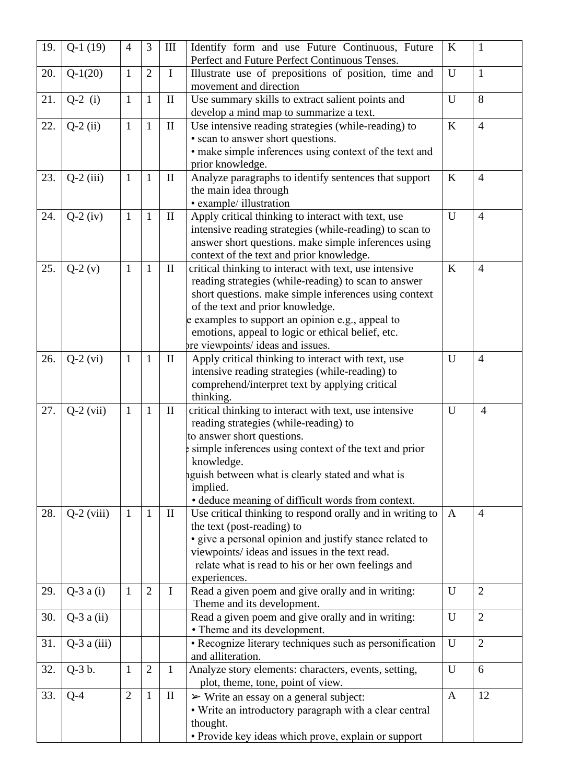| 19. | $Q-1(19)$     | $\overline{4}$ | 3              | $\mathop{\rm III}$ | Identify form and use Future Continuous, Future<br>Perfect and Future Perfect Continuous Tenses.                                                                                                                                                                                                                                                          | K            | $\mathbf{1}$   |
|-----|---------------|----------------|----------------|--------------------|-----------------------------------------------------------------------------------------------------------------------------------------------------------------------------------------------------------------------------------------------------------------------------------------------------------------------------------------------------------|--------------|----------------|
| 20. | $Q-1(20)$     | $\mathbf{1}$   | $\overline{2}$ | $\mathbf I$        | Illustrate use of prepositions of position, time and<br>movement and direction                                                                                                                                                                                                                                                                            | U            | $\mathbf{1}$   |
| 21. | $Q-2$ (i)     | $\mathbf{1}$   | $\mathbf{1}$   | $\rm II$           | Use summary skills to extract salient points and<br>develop a mind map to summarize a text.                                                                                                                                                                                                                                                               | U            | 8              |
| 22. | $Q-2$ (ii)    | $\mathbf{1}$   | $\mathbf{1}$   | $\mathbf{I}$       | Use intensive reading strategies (while-reading) to<br>K<br>• scan to answer short questions.<br>· make simple inferences using context of the text and<br>prior knowledge.                                                                                                                                                                               |              | $\overline{4}$ |
| 23. | $Q-2$ (iii)   | $\mathbf{1}$   | $\mathbf{1}$   | $\mathbf{I}$       | Analyze paragraphs to identify sentences that support<br>K<br>the main idea through<br>· example/ illustration                                                                                                                                                                                                                                            |              | $\overline{4}$ |
| 24. | $Q-2$ (iv)    | 1              | $\mathbf{1}$   | $\mathbf{I}$       | Apply critical thinking to interact with text, use<br>intensive reading strategies (while-reading) to scan to<br>answer short questions. make simple inferences using<br>context of the text and prior knowledge.                                                                                                                                         | U            | $\overline{4}$ |
| 25. | $Q-2(v)$      | $\mathbf{1}$   | $\mathbf{1}$   | $\mathbf{I}$       | critical thinking to interact with text, use intensive<br>reading strategies (while-reading) to scan to answer<br>short questions. make simple inferences using context<br>of the text and prior knowledge.<br>e examples to support an opinion e.g., appeal to<br>emotions, appeal to logic or ethical belief, etc.<br>pre viewpoints/ ideas and issues. | $\rm K$      | $\overline{4}$ |
| 26. | $Q-2$ (vi)    | $\mathbf{1}$   | $\mathbf{1}$   | $\mathbf{I}$       | Apply critical thinking to interact with text, use<br>intensive reading strategies (while-reading) to<br>comprehend/interpret text by applying critical<br>thinking.                                                                                                                                                                                      | U            | $\overline{4}$ |
| 27. | $Q-2$ (vii)   | $\mathbf{1}$   | $\mathbf{1}$   | $\mathbf{I}$       | critical thinking to interact with text, use intensive<br>reading strategies (while-reading) to<br>to answer short questions.<br>$\frac{1}{2}$ simple inferences using context of the text and prior<br>knowledge.<br>nguish between what is clearly stated and what is<br>implied.<br>• deduce meaning of difficult words from context.                  | U            | $\overline{4}$ |
| 28. | $Q-2$ (viii)  | $\mathbf{1}$   | 1              | $\mathbf{I}$       | Use critical thinking to respond orally and in writing to<br>the text (post-reading) to<br>· give a personal opinion and justify stance related to<br>viewpoints/ideas and issues in the text read.<br>relate what is read to his or her own feelings and<br>experiences.                                                                                 | $\mathbf{A}$ | $\overline{4}$ |
| 29. | $Q-3$ a (i)   | $\mathbf{1}$   | $\overline{2}$ | $\mathbf I$        | Read a given poem and give orally and in writing:<br>Theme and its development.                                                                                                                                                                                                                                                                           | U            | $\overline{2}$ |
| 30. | $Q-3$ a (ii)  |                |                |                    | Read a given poem and give orally and in writing:<br>• Theme and its development.                                                                                                                                                                                                                                                                         | U            | $\overline{2}$ |
| 31. | $Q-3$ a (iii) |                |                |                    | • Recognize literary techniques such as personification<br>and alliteration.                                                                                                                                                                                                                                                                              | U            | $\overline{2}$ |
| 32. | $Q-3 b.$      | $\mathbf{1}$   | $\overline{2}$ | $\mathbf{1}$       | Analyze story elements: characters, events, setting,<br>plot, theme, tone, point of view.                                                                                                                                                                                                                                                                 | U            | 6              |
| 33. | $Q-4$         | $\overline{2}$ | $\mathbf{1}$   | $\mathbf{I}$       | $\triangleright$ Write an essay on a general subject:<br>• Write an introductory paragraph with a clear central<br>thought.<br>• Provide key ideas which prove, explain or support                                                                                                                                                                        | $\mathbf{A}$ | 12             |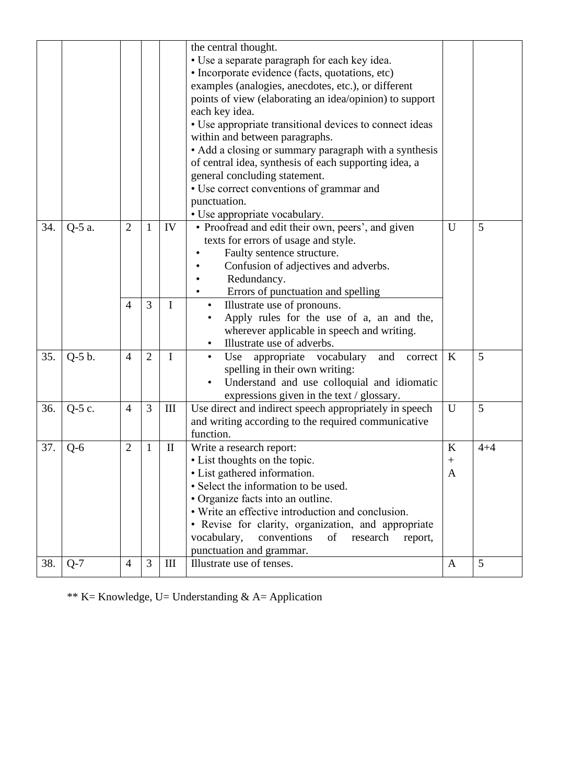|     |          |                |                |                             | the central thought.                                    |              |         |
|-----|----------|----------------|----------------|-----------------------------|---------------------------------------------------------|--------------|---------|
|     |          |                |                |                             | • Use a separate paragraph for each key idea.           |              |         |
|     |          |                |                |                             | · Incorporate evidence (facts, quotations, etc)         |              |         |
|     |          |                |                |                             | examples (analogies, anecdotes, etc.), or different     |              |         |
|     |          |                |                |                             | points of view (elaborating an idea/opinion) to support |              |         |
|     |          |                |                |                             | each key idea.                                          |              |         |
|     |          |                |                |                             | • Use appropriate transitional devices to connect ideas |              |         |
|     |          |                |                |                             | within and between paragraphs.                          |              |         |
|     |          |                |                |                             | • Add a closing or summary paragraph with a synthesis   |              |         |
|     |          |                |                |                             | of central idea, synthesis of each supporting idea, a   |              |         |
|     |          |                |                |                             | general concluding statement.                           |              |         |
|     |          |                |                |                             | • Use correct conventions of grammar and                |              |         |
|     |          |                |                |                             | punctuation.                                            |              |         |
|     |          |                |                |                             | • Use appropriate vocabulary.                           |              |         |
| 34. | Q-5 a.   | $\overline{2}$ | 1              | IV                          | • Proofread and edit their own, peers', and given       | U            | 5       |
|     |          |                |                |                             | texts for errors of usage and style.                    |              |         |
|     |          |                |                |                             | Faulty sentence structure.                              |              |         |
|     |          |                |                |                             | Confusion of adjectives and adverbs.                    |              |         |
|     |          |                |                |                             | Redundancy.                                             |              |         |
|     |          |                |                |                             | Errors of punctuation and spelling                      |              |         |
|     |          | $\overline{4}$ | 3              | $\mathbf I$                 | Illustrate use of pronouns.<br>$\bullet$                |              |         |
|     |          |                |                |                             | Apply rules for the use of a, an and the,               |              |         |
|     |          |                |                |                             | wherever applicable in speech and writing.              |              |         |
|     |          |                |                |                             | Illustrate use of adverbs.                              |              |         |
| 35. | $Q-5 b.$ | $\overline{4}$ | $\overline{2}$ | $\mathbf I$                 | Use<br>appropriate<br>vocabulary<br>and<br>correct      | $\bf K$      | 5       |
|     |          |                |                |                             | spelling in their own writing:                          |              |         |
|     |          |                |                |                             | Understand and use colloquial and idiomatic             |              |         |
|     |          |                |                |                             | expressions given in the text / glossary.               |              |         |
| 36. | Q-5 c.   | $\overline{4}$ | 3              | $\mathop{\rm III}\nolimits$ | Use direct and indirect speech appropriately in speech  | $\mathbf U$  | 5       |
|     |          |                |                |                             | and writing according to the required communicative     |              |         |
|     |          |                |                |                             | function.                                               |              |         |
| 37. | $Q-6$    | $\overline{2}$ | 1              | $\mathbf{I}$                | Write a research report:                                | $\bf K$      | $4 + 4$ |
|     |          |                |                |                             | • List thoughts on the topic.                           | $^{+}$       |         |
|     |          |                |                |                             | • List gathered information.                            | $\mathbf{A}$ |         |
|     |          |                |                |                             | • Select the information to be used.                    |              |         |
|     |          |                |                |                             | • Organize facts into an outline.                       |              |         |
|     |          |                |                |                             | • Write an effective introduction and conclusion.       |              |         |
|     |          |                |                |                             | • Revise for clarity, organization, and appropriate     |              |         |
|     |          |                |                |                             | vocabulary,<br>conventions<br>of<br>research<br>report, |              |         |
|     |          |                |                |                             | punctuation and grammar.                                |              |         |
| 38. | $Q-7$    | $\overline{4}$ | 3              | III                         | Illustrate use of tenses.                               | $\mathbf{A}$ | 5       |
|     |          |                |                |                             |                                                         |              |         |

\*\* K= Knowledge, U= Understanding & A= Application